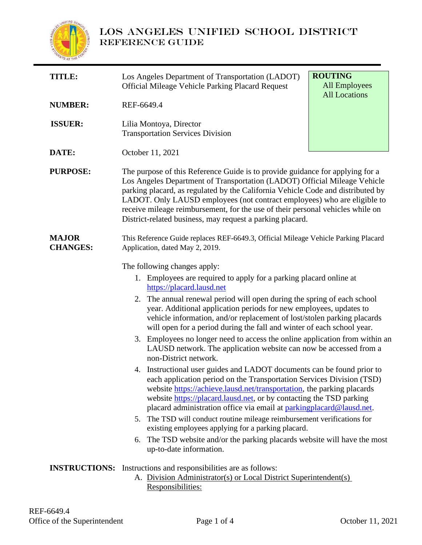

# LOS ANGELES UNIFIED SCHOOL DISTRICT REFERENCE GUIDE

| <b>TITLE:</b>                   | <b>ROUTING</b><br>Los Angeles Department of Transportation (LADOT)<br><b>All Employees</b><br><b>Official Mileage Vehicle Parking Placard Request</b><br><b>All Locations</b>                                                                                                                                                                                                                                                                                                                                                                                                                                                                                                                                                                                                                                                                                                                                                                                                                                                                                                                                                                                                                                                                  |
|---------------------------------|------------------------------------------------------------------------------------------------------------------------------------------------------------------------------------------------------------------------------------------------------------------------------------------------------------------------------------------------------------------------------------------------------------------------------------------------------------------------------------------------------------------------------------------------------------------------------------------------------------------------------------------------------------------------------------------------------------------------------------------------------------------------------------------------------------------------------------------------------------------------------------------------------------------------------------------------------------------------------------------------------------------------------------------------------------------------------------------------------------------------------------------------------------------------------------------------------------------------------------------------|
| <b>NUMBER:</b>                  | REF-6649.4                                                                                                                                                                                                                                                                                                                                                                                                                                                                                                                                                                                                                                                                                                                                                                                                                                                                                                                                                                                                                                                                                                                                                                                                                                     |
| <b>ISSUER:</b>                  | Lilia Montoya, Director<br><b>Transportation Services Division</b>                                                                                                                                                                                                                                                                                                                                                                                                                                                                                                                                                                                                                                                                                                                                                                                                                                                                                                                                                                                                                                                                                                                                                                             |
| DATE:                           | October 11, 2021                                                                                                                                                                                                                                                                                                                                                                                                                                                                                                                                                                                                                                                                                                                                                                                                                                                                                                                                                                                                                                                                                                                                                                                                                               |
| <b>PURPOSE:</b>                 | The purpose of this Reference Guide is to provide guidance for applying for a<br>Los Angeles Department of Transportation (LADOT) Official Mileage Vehicle<br>parking placard, as regulated by the California Vehicle Code and distributed by<br>LADOT. Only LAUSD employees (not contract employees) who are eligible to<br>receive mileage reimbursement, for the use of their personal vehicles while on<br>District-related business, may request a parking placard.                                                                                                                                                                                                                                                                                                                                                                                                                                                                                                                                                                                                                                                                                                                                                                       |
| <b>MAJOR</b><br><b>CHANGES:</b> | This Reference Guide replaces REF-6649.3, Official Mileage Vehicle Parking Placard<br>Application, dated May 2, 2019.                                                                                                                                                                                                                                                                                                                                                                                                                                                                                                                                                                                                                                                                                                                                                                                                                                                                                                                                                                                                                                                                                                                          |
|                                 | The following changes apply:<br>1. Employees are required to apply for a parking placard online at<br>https://placard.lausd.net<br>2. The annual renewal period will open during the spring of each school<br>year. Additional application periods for new employees, updates to<br>vehicle information, and/or replacement of lost/stolen parking placards<br>will open for a period during the fall and winter of each school year.<br>3. Employees no longer need to access the online application from within an<br>LAUSD network. The application website can now be accessed from a<br>non-District network.<br>4. Instructional user guides and LADOT documents can be found prior to<br>each application period on the Transportation Services Division (TSD)<br>website https://achieve.lausd.net/transportation, the parking placards<br>website https://placard.lausd.net, or by contacting the TSD parking<br>placard administration office via email at parking placard@lausd.net.<br>The TSD will conduct routine mileage reimbursement verifications for<br>5.<br>existing employees applying for a parking placard.<br>The TSD website and/or the parking placards website will have the most<br>6.<br>up-to-date information. |
|                                 | <b>INSTRUCTIONS:</b> Instructions and responsibilities are as follows:<br>A. Division Administrator(s) or Local District Superintendent(s)<br>Responsibilities:                                                                                                                                                                                                                                                                                                                                                                                                                                                                                                                                                                                                                                                                                                                                                                                                                                                                                                                                                                                                                                                                                |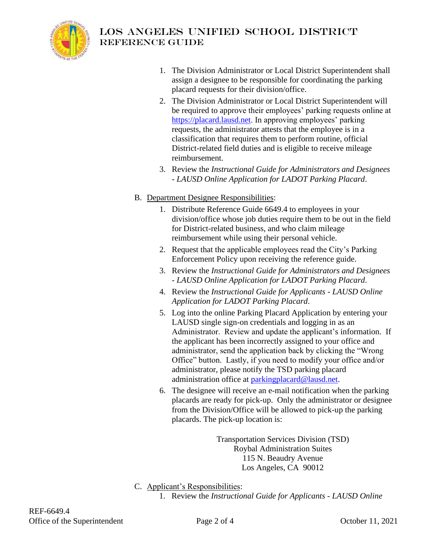

# LOS ANGELES UNIFIED SCHOOL DISTRICT Reference guide

- 1. The Division Administrator or Local District Superintendent shall assign a designee to be responsible for coordinating the parking placard requests for their division/office.
- 2. The Division Administrator or Local District Superintendent will be required to approve their employees' parking requests online at [https://placard.lausd.net.](https://placard.lausd.net/) In approving employees' parking requests, the administrator attests that the employee is in a classification that requires them to perform routine, official District-related field duties and is eligible to receive mileage reimbursement.
- 3. Review the *Instructional Guide for Administrators and Designees - LAUSD Online Application for LADOT Parking Placard*.
- B. Department Designee Responsibilities:
	- 1. Distribute Reference Guide 6649.4 to employees in your division/office whose job duties require them to be out in the field for District-related business, and who claim mileage reimbursement while using their personal vehicle.
	- 2. Request that the applicable employees read the City's Parking Enforcement Policy upon receiving the reference guide.
	- 3. Review the *Instructional Guide for Administrators and Designees - LAUSD Online Application for LADOT Parking Placard*.
	- 4. Review the *Instructional Guide for Applicants - LAUSD Online Application for LADOT Parking Placard*.
	- 5. Log into the online Parking Placard Application by entering your LAUSD single sign-on credentials and logging in as an Administrator. Review and update the applicant's information. If the applicant has been incorrectly assigned to your office and administrator, send the application back by clicking the "Wrong Office" button. Lastly, if you need to modify your office and/or administrator, please notify the TSD parking placard administration office at [parkingplacard@lausd.net.](mailto:parkingplacard@lausd.net)
	- 6. The designee will receive an e-mail notification when the parking placards are ready for pick-up. Only the administrator or designee from the Division/Office will be allowed to pick-up the parking placards. The pick-up location is:

Transportation Services Division (TSD) Roybal Administration Suites 115 N. Beaudry Avenue Los Angeles, CA 90012

- C. Applicant's Responsibilities:
	- 1. Review the *Instructional Guide for Applicants - LAUSD Online*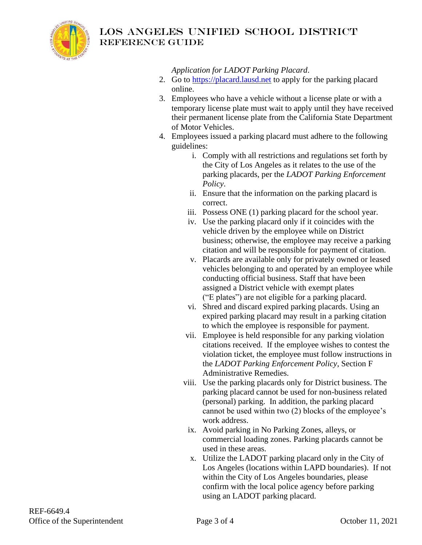

### LOS ANGELES UNIFIED SCHOOL DISTRICT Reference guide

*Application for LADOT Parking Placard*.

- 2. Go to [https://placard.lausd.net](https://placard.lausd.net/) to apply for the parking placard online.
- 3. Employees who have a vehicle without a license plate or with a temporary license plate must wait to apply until they have received their permanent license plate from the California State Department of Motor Vehicles.
- 4. Employees issued a parking placard must adhere to the following guidelines:
	- i. Comply with all restrictions and regulations set forth by the City of Los Angeles as it relates to the use of the parking placards, per the *LADOT Parking Enforcement Policy*.
	- ii. Ensure that the information on the parking placard is correct.
	- iii. Possess ONE (1) parking placard for the school year.
	- iv. Use the parking placard only if it coincides with the vehicle driven by the employee while on District business; otherwise, the employee may receive a parking citation and will be responsible for payment of citation.
	- v. Placards are available only for privately owned or leased vehicles belonging to and operated by an employee while conducting official business. Staff that have been assigned a District vehicle with exempt plates ("E plates") are not eligible for a parking placard.
	- vi. Shred and discard expired parking placards. Using an expired parking placard may result in a parking citation to which the employee is responsible for payment.
	- vii. Employee is held responsible for any parking violation citations received. If the employee wishes to contest the violation ticket, the employee must follow instructions in the *LADOT Parking Enforcement Policy*, Section F Administrative Remedies.
	- viii. Use the parking placards only for District business. The parking placard cannot be used for non-business related (personal) parking. In addition, the parking placard cannot be used within two (2) blocks of the employee's work address.
	- ix. Avoid parking in No Parking Zones, alleys, or commercial loading zones. Parking placards cannot be used in these areas.
	- x. Utilize the LADOT parking placard only in the City of Los Angeles (locations within LAPD boundaries). If not within the City of Los Angeles boundaries, please confirm with the local police agency before parking using an LADOT parking placard.